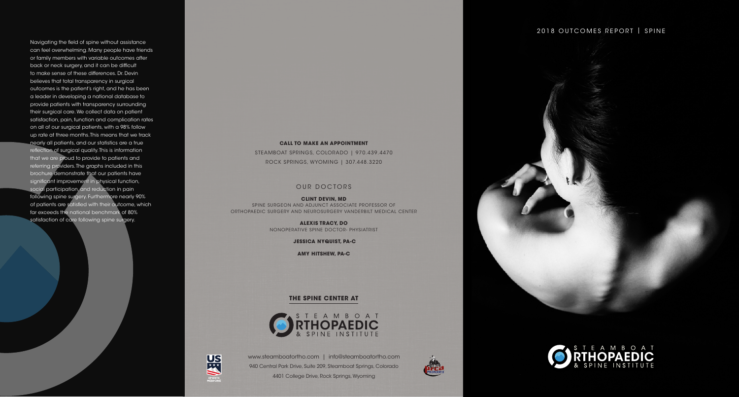www.steamboatortho.com | info@steamboatortho.com 940 Central Park Drive, Suite 209, Steamboat Springs, Colorado 4401 College Drive, Rock Springs, Wyoming



## 2018 OUTCOMES REPORT | SPINE



## **CALL TO MAKE AN APPOINTMENT**

STEAMBOAT SPRINGS, COLORADO | 970.439.4470 ROCK SPRINGS, WYOMING | 307.448.3220

## OUR DOCTORS

**CLINT DEVIN, MD** SPINE SURGEON AND ADJUNCT ASSOCIATE PROFESSOR OF ORTHOPAEDIC SURGERY AND NEUROSURGERY VANDERBILT MEDICAL CENTER

> **ALEXIS TRACY, DO** NONOPERATIVE SPINE DOCTOR- PHYSIATRIST

> > **JESSICA NYQUIST, PA-C**

**AMY HITSHEW, PA-C**

## **THE SPINE CENTER AT**





Navigating the field of spine without assistance can feel overwhelming. Many people have friends or family members with variable outcomes after back or neck surgery, and it can be difficult to make sense of these differences. Dr. Devin believes that total transparency in surgical outcomes is the patient's right, and he has been a leader in developing a national database to provide patients with transparency surrounding their surgical care. We collect data on patient satisfaction, pain, function and complication rates on all of our surgical patients, with a 98% follow up rate at three months. This means that we track nearly all patients, and our statistics are a true reflection of surgical quality. This is information that we are proud to provide to patients and referring providers. The graphs included in this brochure demonstrate that our patients have significant improvement in physical function, social participation, and reduction in pain following spine surgery. Furthermore nearly 90% of patients are satisfied with their outcome, which far exceeds the national benchmark of 80% satisfaction of care following spine surgery.